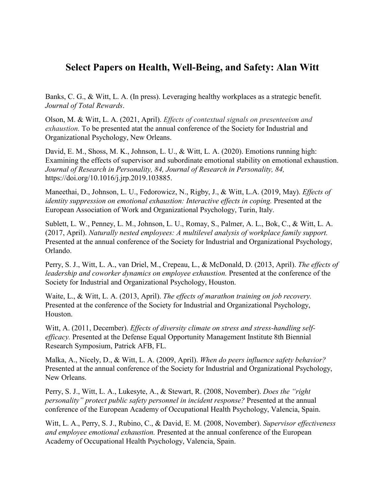## **Select Papers on Health, Well-Being, and Safety: Alan Witt**

Banks, C. G., & Witt, L. A. (In press). Leveraging healthy workplaces as a strategic benefit. *Journal of Total Rewards*.

Olson, M. & Witt, L. A. (2021, April). *Effects of contextual signals on presenteeism and exhaustion.* To be presented atat the annual conference of the Society for Industrial and Organizational Psychology, New Orleans.

David, E. M., Shoss, M. K., Johnson, L. U., & Witt, L. A. (2020). Emotions running high: Examining the effects of supervisor and subordinate emotional stability on emotional exhaustion. *Journal of Research in Personality, 84, Journal of Research in Personality, 84,*  [https://doi.org/10.1016/j.jrp.2019.103885.](about:blank)

Maneethai, D., Johnson, L. U., Fedorowicz, N., Rigby, J., & Witt, L.A. (2019, May). *Effects of identity suppression on emotional exhaustion: Interactive effects in coping.* Presented at the European Association of Work and Organizational Psychology, Turin, Italy.

Sublett, L. W., Penney, L. M., Johnson, L. U., Romay, S., Palmer, A. L., Bok, C., & Witt, L. A. (2017, April). *Naturally nested employees: A multilevel analysis of workplace family support.* Presented at the annual conference of the Society for Industrial and Organizational Psychology, Orlando.

Perry, S. J., Witt, L. A., van Driel, M., Crepeau, L., & McDonald, D. (2013, April). *The effects of leadership and coworker dynamics on employee exhaustion.* Presented at the conference of the Society for Industrial and Organizational Psychology, Houston.

Waite, L., & Witt, L. A. (2013, April). *The effects of marathon training on job recovery.* Presented at the conference of the Society for Industrial and Organizational Psychology, Houston.

Witt, A. (2011, December). *Effects of diversity climate on stress and stress-handling selfefficacy.* Presented at the Defense Equal Opportunity Management Institute 8th Biennial Research Symposium, Patrick AFB, FL.

Malka, A., Nicely, D., & Witt, L. A. (2009, April). *When do peers influence safety behavior?* Presented at the annual conference of the Society for Industrial and Organizational Psychology, New Orleans.

Perry, S. J., Witt, L. A., Lukesyte, A., & Stewart, R. (2008, November). *Does the "right personality" protect public safety personnel in incident response?* Presented at the annual conference of the European Academy of Occupational Health Psychology, Valencia, Spain.

Witt, L. A., Perry, S. J., Rubino, C., & David, E. M. (2008, November). *Supervisor effectiveness and employee emotional exhaustion.* Presented at the annual conference of the European Academy of Occupational Health Psychology, Valencia, Spain.